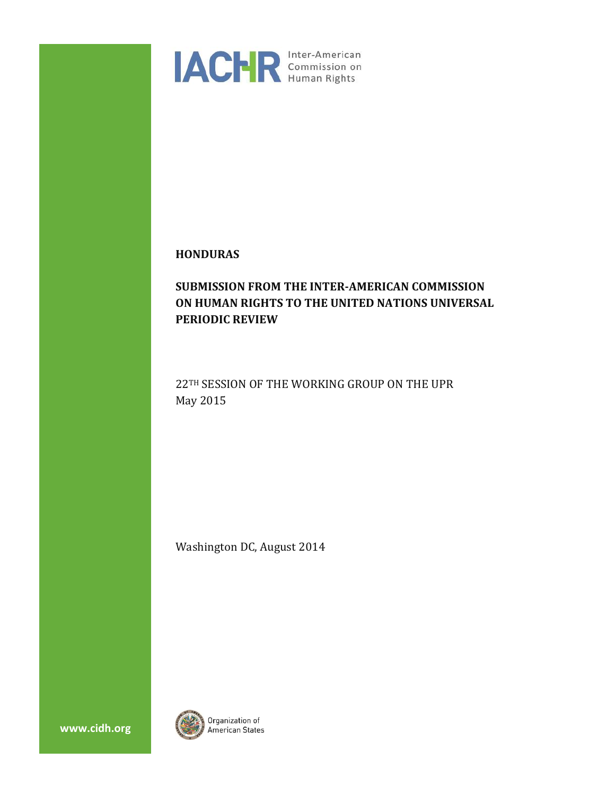

# **HONDURAS**

# **SUBMISSION FROM THE INTER-AMERICAN COMMISSION ON HUMAN RIGHTS TO THE UNITED NATIONS UNIVERSAL PERIODIC REVIEW**

22TH SESSION OF THE WORKING GROUP ON THE UPR May 2015

Washington DC, August 2014



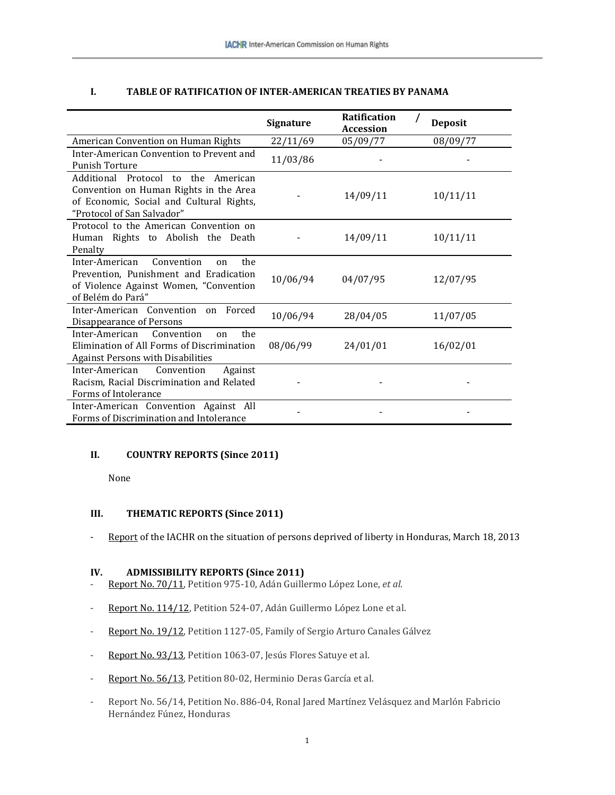| <b>TABLE OF RATIFICATION OF INTER-AMERICAN TREATIES BY PANAMA</b> |
|-------------------------------------------------------------------|
|-------------------------------------------------------------------|

|                                                                                                                                                               | <b>Signature</b> | <b>Ratification</b><br><b>Accession</b> | Deposit  |
|---------------------------------------------------------------------------------------------------------------------------------------------------------------|------------------|-----------------------------------------|----------|
| American Convention on Human Rights                                                                                                                           | 22/11/69         | 05/09/77                                | 08/09/77 |
| Inter-American Convention to Prevent and<br><b>Punish Torture</b>                                                                                             | 11/03/86         |                                         |          |
| Additional Protocol to the American<br>Convention on Human Rights in the Area<br>of Economic, Social and Cultural Rights,<br>"Protocol of San Salvador"       |                  | 14/09/11                                | 10/11/11 |
| Protocol to the American Convention on<br>Human Rights to Abolish the Death<br>Penalty                                                                        |                  | 14/09/11                                | 10/11/11 |
| Convention<br>Inter-American<br>the<br><sub>on</sub><br>Prevention. Punishment and Eradication<br>of Violence Against Women, "Convention<br>of Belém do Pará" | 10/06/94         | 04/07/95                                | 12/07/95 |
| Inter-American Convention on<br>Forced<br>Disappearance of Persons                                                                                            | 10/06/94         | 28/04/05                                | 11/07/05 |
| Inter-American<br>Convention<br>the<br><sub>on</sub><br>Elimination of All Forms of Discrimination<br>Against Persons with Disabilities                       | 08/06/99         | 24/01/01                                | 16/02/01 |
| Inter-American<br>Convention<br>Against<br>Racism, Racial Discrimination and Related<br>Forms of Intolerance                                                  |                  |                                         |          |
| Inter-American Convention Against All<br>Forms of Discrimination and Intolerance                                                                              |                  |                                         |          |

#### **II. COUNTRY REPORTS (Since 2011)**

None

## **III. THEMATIC REPORTS (Since 2011)**

- [Report](http://www.oas.org/en/iachr/pdl/docs/pdf/HONDURAS-PPL-2013ENG.pdf) of the IACHR on the situation of persons deprived of liberty in Honduras, March 18, 2013

#### **IV. ADMISSIBILITY REPORTS (Since 2011)**

- [Report](http://www.oas.org/en/iachr/decisions/2011/HOAD975-10EN.DOC) No. 70/11, Petition 975-10, Adán Guillermo López Lone, *et al*.
- Report No. [114/12,](http://www.oas.org/en/iachr/decisions/2012/HOAD524-07EN.DOC) Petition 524-07, Adán Guillermo López Lone et al.
- [Report](http://www.oas.org/en/iachr/decisions/2012/HOAD1127-05EN.DOC) No. 19/12, Petition 1127-05, Family of Sergio Arturo Canales Gálvez
- [Report](http://www.oas.org/en/iachr/decisions/2013/HOAD1063-0EN.doc) No. 93/13, Petition 1063-07, Jesús Flores Satuye et al.
- [Report](http://www.oas.org/en/iachr/decisions/2013/HOAD80-02EN.doc) No. 56/13, Petition 80-02, Herminio Deras García et al.
- Report No. 56/14, Petition No. 886-04, Ronal Jared Martínez Velásquez and Marlón Fabricio Hernández Fúnez, Honduras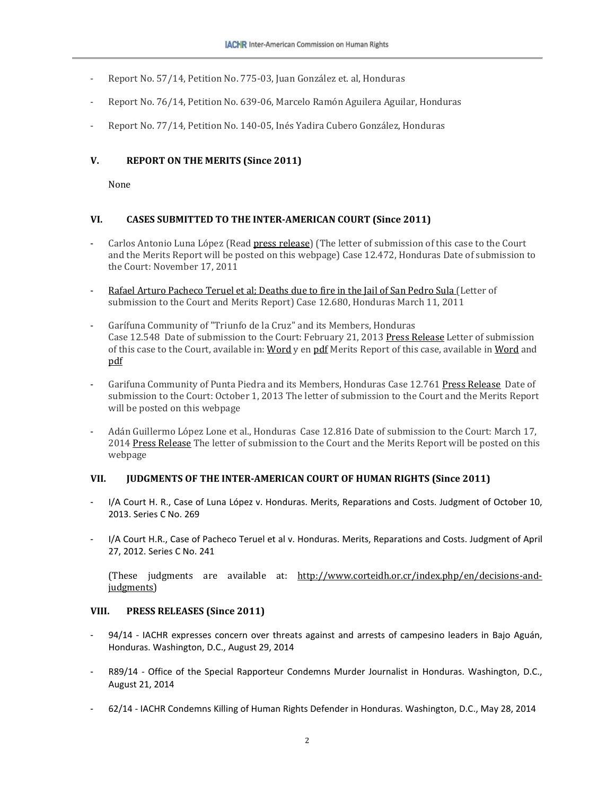- Report No. 57/14, Petition No. 775-03, Juan González et. al, Honduras
- Report No. 76/14, Petition No. 639-06, Marcelo Ramón Aguilera Aguilar, Honduras
- Report No. 77/14, Petition No. 140-05, Inés Yadira Cubero González, Honduras

### **V. REPORT ON THE MERITS (Since 2011)**

None

#### **VI. CASES SUBMITTED TO THE INTER-AMERICAN COURT (Since 2011)**

- Carlos Antonio Luna López (Read press [release\)](http://www.oas.org/en/iachr/media_center/PReleases/2011/121.asp) (The letter of submission of this case to the Court and the Merits Report will be posted on this webpage) Case 12.472, Honduras Date of submission to the Court: November 17, 2011
- Rafael Arturo [Pacheco](http://www.cidh.oas.org/demandas/12.680Eng.pdf) Teruel et al; Deaths due to fire in the Jail of San Pedro Sula (Letter of submission to the Court and Merits Report) Case 12.680, Honduras March 11, 2011
- Garífuna Community of "Triunfo de la Cruz" and its Members, Honduras Case 12.548 Date of submission to the Court: February 21, 2013 Press [Release](http://www.oas.org/en/iachr/media_center/PReleases/2013/021.asp) Letter of submission of this case to the Court, available in: [Word](http://www.oas.org/en/iachr/decisions/court/12.548NdeREng.doc) y en [pdf](http://www.oas.org/en/iachr/decisions/court/12.548NdeREng.pdf) Merits Report of this case, available in [Word](http://www.oas.org/en/iachr/decisions/court/12.548FondoEng.doc) and [pdf](http://www.oas.org/en/iachr/decisions/court/12.548FondoEng.pdf)
- Garifuna Community of Punta Piedra and its Members, Honduras Case 12.761 Press [Release](http://www.oas.org/en/iachr/media_center/PReleases/2013/076.asp) Date of submission to the Court: October 1, 2013 The letter of submission to the Court and the Merits Report will be posted on this webpage
- Adán Guillermo López Lone et al., Honduras Case 12.816 Date of submission to the Court: March 17, 2014 Press [Release](http://www.oas.org/en/iachr/media_center/PReleases/2014/032.asp) The letter of submission to the Court and the Merits Report will be posted on this webpage

#### **VII. JUDGMENTS OF THE INTER-AMERICAN COURT OF HUMAN RIGHTS (Since 2011)**

- I/A Court H. R., Case of Luna López v. Honduras. Merits, Reparations and Costs. Judgment of October 10, 2013. Series C No. 269
- I/A Court H.R., Case of Pacheco Teruel et al v. Honduras. Merits, Reparations and Costs. Judgment of April 27, 2012. Series C No. 241

(These judgments are available at: [http://www.corteidh.or.cr/index.php/en/decisions-and](http://www.corteidh.or.cr/index.php/en/decisions-and-judgments)[judgments\)](http://www.corteidh.or.cr/index.php/en/decisions-and-judgments)

#### **VIII. PRESS RELEASES (Since 2011)**

- 94/14 IACHR expresses concern over threats against and arrests of [campesino](http://www.oas.org/en/iachr/media_center/PReleases/2014/094.asp) leaders in Bajo Aguán, [Honduras.](http://www.oas.org/en/iachr/media_center/PReleases/2014/094.asp) Washington, D.C., August 29, 2014
- R89/14 Office of the Special [Rapporteur](http://www.oas.org/en/iachr/expression/showarticle.asp?artID=955&lID=1) Condemns Murder Journalist in Honduras. Washington, D.C., August 21, 2014
- 62/14 IACHR [Condemns](http://www.oas.org/en/iachr/media_center/PReleases/2014/062.asp) Killing of Human Rights Defender in Honduras. Washington, D.C., May 28, 2014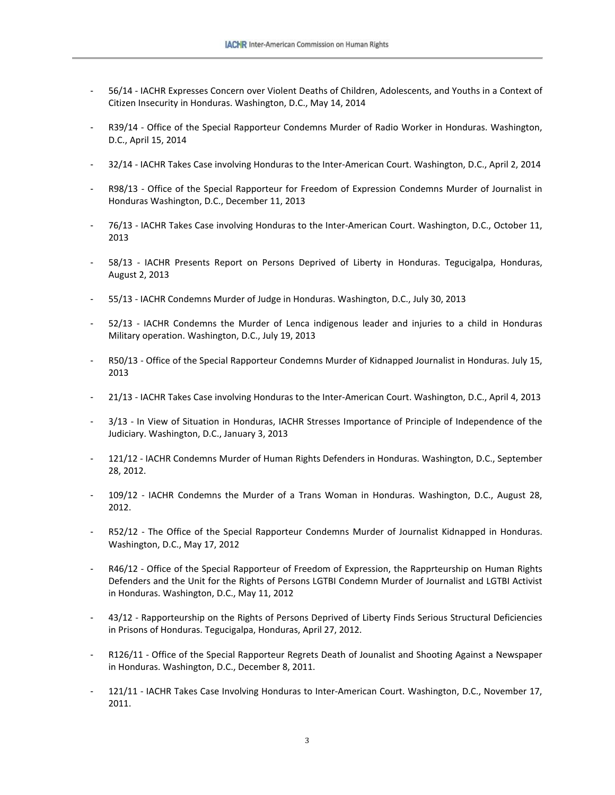- 56/14 IACHR Expresses Concern over Violent Deaths of Children, [Adolescents,](http://www.oas.org/en/iachr/media_center/PReleases/2014/056.asp) and Youths in a Context of Citizen Insecurity in [Honduras.](http://www.oas.org/en/iachr/media_center/PReleases/2014/056.asp) Washington, D.C., May 14, 2014
- R39/14 Office of the Special [Rapporteur](http://www.oas.org/en/iachr/expression/showarticle.asp?artID=942&lID=1) Condemns Murder of Radio Worker in Honduras. Washington, D.C., April 15, 2014
- 32/14 IACHR Takes Case involving Honduras to the [Inter-American](http://www.oas.org/en/iachr/media_center/PReleases/2014/032.asp) Court. Washington, D.C., April 2, 2014
- R98/13 Office of the Special [Rapporteur](http://www.oas.org/en/iachr/expression/showarticle.asp?artID=935&lID=1) for Freedom of Expression Condemns Murder of Journalist in [Honduras](http://www.oas.org/en/iachr/expression/showarticle.asp?artID=935&lID=1) Washington, D.C., December 11, 2013
- 76/13 IACHR Takes Case involving Honduras to the [Inter-American](http://www.oas.org/en/iachr/media_center/PReleases/2013/076.asp) Court. Washington, D.C., October 11, 2013
- 58/13 IACHR Presents Report on Persons Deprived of Liberty in [Honduras.](http://www.oas.org/en/iachr/media_center/PReleases/2013/058.asp) Tegucigalpa, Honduras, August 2, 2013
- 55/13 IACHR [Condemns](http://www.oas.org/en/iachr/media_center/PReleases/2013/055.asp) Murder of Judge in Honduras. Washington, D.C., July 30, 2013
- 52/13 IACHR Condemns the Murder of Lenca [indigenous](http://www.oas.org/en/iachr/media_center/PReleases/2013/052.asp) leader and injuries to a child in Honduras Military [operation.](http://www.oas.org/en/iachr/media_center/PReleases/2013/052.asp) Washington, D.C., July 19, 2013
- R50/13 Office of the Special [Rapporteur](http://www.oas.org/en/iachr/expression/showarticle.asp?artID=929&lID=1) Condemns Murder of Kidnapped Journalist in Honduras. July 15, 2013
- 21/13 IACHR Takes Case involving Honduras to the [Inter-American](http://www.oas.org/en/iachr/media_center/PReleases/2013/021.asp) Court. Washington, D.C., April 4, 2013
- 3/13 In View of Situation in Honduras, IACHR Stresses Importance of Principle of [Independence](http://www.oas.org/en/iachr/media_center/PReleases/2013/003.asp) of the [Judiciary.](http://www.oas.org/en/iachr/media_center/PReleases/2013/003.asp) Washington, D.C., January 3, 2013
- 121/12 IACHR [Condemns](http://www.oas.org/en/iachr/media_center/PReleases/2012/121.asp) Murder of Human Rights Defenders in Honduras. Washington, D.C., September 28, 2012.
- 109/12 IACHR [Condemns](http://www.oas.org/en/iachr/media_center/PReleases/2012/109.asp) the Murder of a Trans Woman in Honduras. Washington, D.C., August 28, 2012.
- R52/12 The Office of the Special [Rapporteur](http://www.oas.org/en/iachr/expression/showarticle.asp?artID=897&lID=1) Condemns Murder of Journalist Kidnapped in Honduras. Washington, D.C., May 17, 2012
- R46/12 Office of the Special Rapporteur of Freedom of Expression, the [Rapprteurship](http://www.oas.org/en/iachr/media_center/PReleases/2012/R46.asp) on Human Rights [Defenders](http://www.oas.org/en/iachr/media_center/PReleases/2012/R46.asp) and the Unit for the Rights of Persons LGTBI Condemn Murder of Journalist and LGTBI Activist in [Honduras.](http://www.oas.org/en/iachr/media_center/PReleases/2012/R46.asp) Washington, D.C., May 11, 2012
- 43/12 [Rapporteurship](http://www.oas.org/en/iachr/media_center/PReleases/2012/043.asp) on the Rights of Persons Deprived of Liberty Finds Serious Structural Deficiencies in Prisons of [Honduras.](http://www.oas.org/en/iachr/media_center/PReleases/2012/043.asp) Tegucigalpa, Honduras, April 27, 2012.
- R126/11 Office of the Special [Rapporteur](http://www.cidh.oas.org/relatoria/showarticle.asp?artID=878&lID=1) Regrets Death of Jounalist and Shooting Against a Newspaper in [Honduras.](http://www.cidh.oas.org/relatoria/showarticle.asp?artID=878&lID=1) Washington, D.C., December 8, 2011.
- 121/11 IACHR Takes Case Involving Honduras to [Inter-American](http://www.oas.org/en/iachr/media_center/PReleases/2011/121.asp) Court. Washington, D.C., November 17, 2011.